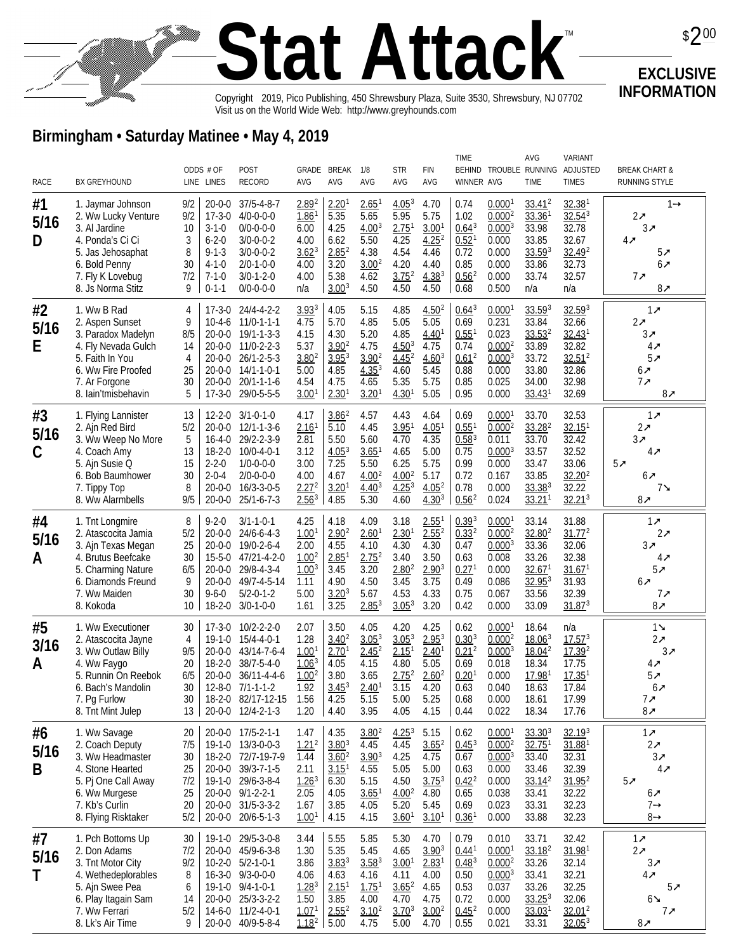## **Stat Attack** Copyright@2019, Pico Publishing, 450 Shrewsbury Plaza, Suite 3530, Shrewsbury, NJ 07702 TM Visit us on the World Wide Web: http://www.greyhounds.com

**EXCLUSIVE INFORMATION**

 $$200$ 

## **Birmingham • Saturday Matinee • May 4, 2019**

|                 |                                                                                                                                                                 |                                                                                                                                                        |                                                                                                                                                                                                                                                                                      |                                                                                                     |                                                                                                     |                                                                                                       |                                                                                                     |                                                                                              | <b>TIME</b>                                                                                    |                                                                                                        | <b>AVG</b>                                                                                                  | <b>VARIANT</b>                                                                                                |                                                                                         |
|-----------------|-----------------------------------------------------------------------------------------------------------------------------------------------------------------|--------------------------------------------------------------------------------------------------------------------------------------------------------|--------------------------------------------------------------------------------------------------------------------------------------------------------------------------------------------------------------------------------------------------------------------------------------|-----------------------------------------------------------------------------------------------------|-----------------------------------------------------------------------------------------------------|-------------------------------------------------------------------------------------------------------|-----------------------------------------------------------------------------------------------------|----------------------------------------------------------------------------------------------|------------------------------------------------------------------------------------------------|--------------------------------------------------------------------------------------------------------|-------------------------------------------------------------------------------------------------------------|---------------------------------------------------------------------------------------------------------------|-----------------------------------------------------------------------------------------|
| RACE            | <b>BX GREYHOUND</b>                                                                                                                                             | ODDS # OF<br>LINE LINES                                                                                                                                | POST<br><b>RECORD</b>                                                                                                                                                                                                                                                                | <b>AVG</b>                                                                                          | GRADE BREAK<br>AVG                                                                                  | 1/8<br>AVG                                                                                            | <b>STR</b><br>AVG                                                                                   | <b>FIN</b><br>AVG                                                                            | <b>WINNER AVG</b>                                                                              |                                                                                                        | <b>TIME</b>                                                                                                 | BEHIND TROUBLE RUNNING ADJUSTED<br><b>TIMES</b>                                                               | <b>BREAK CHART &amp;</b><br><b>RUNNING STYLE</b>                                        |
| #1<br>5/16<br>D | 1. Jaymar Johnson<br>2. Ww Lucky Venture<br>3. Al Jardine<br>4. Ponda's Ci Ci<br>5. Jas Jehosaphat<br>6. Bold Penny<br>7. Fly K Lovebug<br>8. Js Norma Stitz    | 9/2<br>9/2<br>$17 - 3 - 0$<br>10<br>$3 - 1 - 0$<br>3<br>$6 - 2 - 0$<br>8<br>$9 - 1 - 3$<br>30<br>$4 - 1 - 0$<br>7/2<br>$7 - 1 - 0$<br>9<br>$0 - 1 - 1$ | $20 - 0 - 0$<br>$37/5 - 4 - 8 - 7$<br>$4/0 - 0 - 0 - 0$<br>$0/0 - 0 - 0 - 0$<br>$3/0 - 0 - 0 - 2$<br>$3/0-0-0-2$<br>$2/0 - 1 - 0 - 0$<br>$3/0-1-2-0$<br>$0/0 - 0 - 0 - 0$                                                                                                            | 2.89 <sup>2</sup><br>1.86<br>6.00<br>4.00<br>$3.62^{3}$<br>4.00<br>4.00<br>n/a                      | 2.20 <sup>1</sup><br>5.35<br>4.25<br>6.62<br>$2.85^{2}$<br>3.20<br>5.38<br>3.00 <sup>3</sup>        | $2.65$ <sup>1</sup><br>5.65<br>4.00 <sup>3</sup><br>5.50<br>4.38<br>3.00 <sup>2</sup><br>4.62<br>4.50 | 4.05 <sup>3</sup><br>5.95<br>2.75 <sup>1</sup><br>4.25<br>4.54<br>4.20<br>$3.75^{2}$<br>4.50        | 4.70<br>5.75<br>3.00 <sup>1</sup><br>$4.25^{2}$<br>4.46<br>4.40<br>$4.38^{3}$<br>4.50        | 0.74<br>1.02<br>$0.64^{3}$<br>0.52 <sup>1</sup><br>0.72<br>0.85<br>0.56 <sup>2</sup><br>0.68   | 0.0001<br>0.000 <sup>2</sup><br>$0.000^{3}$<br>0.000<br>0.000<br>0.000<br>0.000<br>0.500               | 33.41 <sup>2</sup><br>$33.36$ <sup>1</sup><br>33.98<br>33.85<br>33.593<br>33.86<br>33.74<br>n/a             | 32.38 <sup>1</sup><br>32.54 <sup>3</sup><br>32.78<br>32.67<br>32.49 <sup>2</sup><br>32.73<br>32.57<br>n/a     | $1 +$<br>$2\pi$<br>$3\pi$<br>$4\pi$<br>$5\pi$<br>$6\pi$<br>$7\pi$<br>$8\pi$             |
| #2<br>5/16<br>E | 1. Ww B Rad<br>2. Aspen Sunset<br>3. Paradox Madelyn<br>4. Fly Nevada Gulch<br>5. Faith In You<br>6. Ww Fire Proofed<br>7. Ar Forgone<br>8. lain'tmisbehavin    | 4<br>9<br>8/5<br>14<br>4<br>25<br>30<br>5                                                                                                              | $17 - 3 - 0$<br>24/4-4-2-2<br>$11/0 - 1 - 1 - 1$<br>$10-4-6$<br>$20 - 0 - 0$<br>$19/1 - 1 - 3 - 3$<br>$11/0 - 2 - 2 - 3$<br>$20 - 0 - 0$<br>$26/1 - 2 - 5 - 3$<br>$20 - 0 - 0$<br>$20 - 0 - 0$<br>$14/1 - 1 - 0 - 1$<br>$20/1 - 1 - 1 - 6$<br>$20 - 0 - 0$<br>$17-3-0$<br>29/0-5-5-5 | $3.93^{3}$<br>4.75<br>4.15<br>5.37<br>3.80 <sup>2</sup><br>5.00<br>4.54<br>3.00 <sup>1</sup>        | 4.05<br>5.70<br>4.30<br>$3.90^{2}$<br>$3.95^{3}$<br>4.85<br>4.75<br>2.30 <sup>1</sup>               | 5.15<br>4.85<br>5.20<br>4.75<br>$3.90^{2}$<br>4.35 <sup>3</sup><br>4.65<br>3.20 <sup>1</sup>          | 4.85<br>5.05<br>4.85<br>$4.50^{3}$<br>$4.45^{2}$<br>4.60<br>5.35<br>4.30 <sup>1</sup>               | 4.50 <sup>2</sup><br>5.05<br>4.40 <sup>1</sup><br>4.75<br>$4.60^{3}$<br>5.45<br>5.75<br>5.05 | $0.64^{3}$<br>0.69<br>0.55 <sup>1</sup><br>0.74<br>$0.61^{2}$<br>0.88<br>0.85<br>0.95          | 0.0001<br>0.231<br>0.023<br>$0.000^{2}$<br>$0.000^{3}$<br>0.000<br>0.025<br>0.000                      | $33.59^{3}$<br>33.84<br>$33.53^{2}$<br>33.89<br>33.72<br>33.80<br>34.00<br>$33.43$ <sup>1</sup>             | 32.593<br>32.66<br>$32.43$ <sup>1</sup><br>32.82<br>$32.51^2$<br>32.86<br>32.98<br>32.69                      | $1\pi$<br>$2\pi$<br>$3\pi$<br>$4\pi$<br>$5\pi$<br>$6\pi$<br>7x<br>$8\pi$                |
| #3<br>5/16<br>C | 1. Flying Lannister<br>2. Ajn Red Bird<br>3. Ww Weep No More<br>4. Coach Amy<br>5. Ajn Susie Q<br>6. Bob Baumhower<br>7. Tippy Top<br>8. Ww Alarmbells          | 13<br>$12 - 2 - 0$<br>5/2<br>5<br>13<br>15<br>$2 - 2 - 0$<br>30<br>$2 - 0 - 4$<br>8<br>9/5                                                             | $3/1 - 0 - 1 - 0$<br>$20 - 0 - 0$<br>$12/1 - 1 - 3 - 6$<br>$16 - 4 - 0$<br>29/2-2-3-9<br>$18-2-0$<br>$10/0 - 4 - 0 - 1$<br>$1/0 - 0 - 0 - 0$<br>$2/0 - 0 - 0 - 0$<br>$20 - 0 - 0$<br>$16/3 - 3 - 0 - 5$<br>$20 - 0 - 0$<br>$25/1 - 6 - 7 - 3$                                        | 4.17<br>2.16 <sup>1</sup><br>2.81<br>3.12<br>3.00<br>4.00<br>$2.27^{2}$<br>2.56 <sup>3</sup>        | $3.86^{2}$<br>5.10<br>5.50<br>4.05 <sup>3</sup><br>7.25<br>4.67<br>3.20 <sup>1</sup><br>4.85        | 4.57<br>4.45<br>5.60<br>$3.65$ <sup>1</sup><br>5.50<br>4.00 <sup>2</sup><br>$4.40^{3}$<br>5.30        | 4.43<br>3.95 <sup>1</sup><br>4.70<br>4.65<br>6.25<br>4.00 <sup>2</sup><br>4.25 <sup>3</sup><br>4.60 | 4.64<br>4.05 <sup>1</sup><br>4.35<br>5.00<br>5.75<br>5.17<br>4.05 <sup>2</sup><br>$4.30^{3}$ | 0.69<br>$0.55^{1}$<br>$0.58^{3}$<br>0.75<br>0.99<br>0.72<br>0.78<br>0.56 <sup>2</sup>          | 0.000<br>0.000 <sup>2</sup><br>0.011<br>$0.000^{3}$<br>0.000<br>0.167<br>0.000<br>0.024                | 33.70<br>$33.28^{2}$<br>33.70<br>33.57<br>33.47<br>33.85<br>33.383<br>$33.21$ <sup>1</sup>                  | 32.53<br>32.15 <sup>1</sup><br>32.42<br>32.52<br>33.06<br>32.20 <sup>2</sup><br>32.22<br>32.21 <sup>3</sup>   | $1\pi$<br>$2\pi$<br>$3\pi$<br>$4\pi$<br>$5\pi$<br>6₹<br>7≱<br>$8\pi$                    |
| #4<br>5/16<br>A | 1. Tnt Longmire<br>2. Atascocita Jamia<br>3. Ajn Texas Megan<br>4. Brutus Beefcake<br>5. Charming Nature<br>6. Diamonds Freund<br>7. Ww Maiden<br>8. Kokoda     | 8<br>$9 - 2 - 0$<br>5/2<br>25<br>30<br>6/5<br>9<br>30<br>$9 - 6 - 0$<br>10                                                                             | $3/1 - 1 - 0 - 1$<br>$20 - 0 - 0$<br>$24/6 - 6 - 4 - 3$<br>$20 - 0 - 0$<br>19/0-2-6-4<br>$15 - 5 - 0$<br>47/21-4-2-0<br>29/8-4-3-4<br>$20 - 0 - 0$<br>49/7-4-5-14<br>$20 - 0 - 0$<br>$5/2 - 0 - 1 - 2$<br>$18 - 2 - 0$<br>$3/0 - 1 - 0 - 0$                                          | 4.25<br>1.00 <sup>1</sup><br>2.00<br>1.00 <sup>2</sup><br>1.00 <sup>3</sup><br>1.11<br>5.00<br>1.61 | 4.18<br>2.90 <sup>2</sup><br>4.55<br>2.85 <sup>1</sup><br>3.45<br>4.90<br>3.20 <sup>3</sup><br>3.25 | 4.09<br>2.60 <sup>1</sup><br>4.10<br>2.75 <sup>2</sup><br>3.20<br>4.50<br>5.67<br>$2.85^{3}$          | 3.18<br>2.30 <sup>1</sup><br>4.30<br>3.40<br>2.80 <sup>2</sup><br>3.45<br>4.53<br>3.05 <sup>3</sup> | $2.55^{1}$<br>$2.55^{2}$<br>4.30<br>3.50<br>$2.90^{3}$<br>3.75<br>4.33<br>3.20               | $0.39^{3}$<br>$0.33^{2}$<br>0.47<br>0.63<br>0.27 <sup>1</sup><br>0.49<br>0.75<br>0.42          | $0.000$ <sup>1</sup><br>0.000 <sup>2</sup><br>$0.000^{3}$<br>0.008<br>0.000<br>0.086<br>0.067<br>0.000 | 33.14<br>32.80 <sup>2</sup><br>33.36<br>33.26<br>32.67 <sup>1</sup><br>32.95 <sup>3</sup><br>33.56<br>33.09 | 31.88<br>31.77 <sup>2</sup><br>32.06<br>32.38<br>31.67 <sup>1</sup><br>31.93<br>32.39<br>31.87 <sup>3</sup>   | $1\pi$<br>$2\pi$<br>$3\pi$<br>$4\pi$<br>$5\pi$<br>$6\pi$<br>$7\pi$<br>$8\pi$            |
| #5<br>3/16<br>A | 1. Ww Executioner<br>2. Atascocita Jayne<br>3. Ww Outlaw Billy<br>4. Ww Faygo<br>5. Runnin On Reebok<br>6. Bach's Mandolin<br>7. Pg Furlow<br>8. Tnt Mint Julep | 30<br>4<br>9/5<br>20<br>6/5<br>30<br>30<br>13                                                                                                          | $17 - 3 - 0$<br>$10/2 - 2 - 2 - 0$<br>$19-1-0$<br>$15/4 - 4 - 0 - 1$<br>43/14-7-6-4<br>20-0-0<br>$18 - 2 - 0$<br>38/7-5-4-0<br>$20 - 0 - 0$<br>$36/11 - 4 - 4 - 6$<br>$12 - 8 - 0$<br>$7/1 - 1 - 1 - 2$<br>18-2-0 82/17-12-15<br>$12/4 - 2 - 1 - 3$<br>$20 - 0 - 0$                  | 2.07<br>1.28<br>1.00 <sup>1</sup><br>1.06 <sup>3</sup><br>1.00 <sup>2</sup><br>1.92<br>1.56<br>1.20 | 3.50<br>$3.40^{2}$<br>2.70 <sup>1</sup><br>4.05<br>3.80<br>$3.45^{3}$<br>4.25<br>4.40               | 4.05<br>3.05 <sup>3</sup><br>2.45 <sup>2</sup><br>4.15<br>3.65<br>2.40 <sup>1</sup><br>5.15<br>3.95   | 4.20<br>$3.05^{3}$<br>$2.15$ <sup>1</sup><br>4.80<br>$2.75^{2}$<br>3.15<br>5.00<br>4.05             | 4.25<br>$2.95^{3}$<br>2.40 <sup>1</sup><br>5.05<br>$2.60^{2}$<br>4.20<br>5.25<br>4.15        | 0.62<br>$0.30^{3}$<br>0.21 <sup>2</sup><br>0.69<br>0.20 <sup>1</sup><br>0.63<br>0.68<br>0.44   | 0.0001<br>0.000 <sup>2</sup><br>$0.000^{3}$<br>0.018<br>0.000<br>0.040<br>0.000<br>0.022               | 18.64<br>18.06 <sup>3</sup><br>18.04 <sup>2</sup><br>18.34<br>17.98 <sup>1</sup><br>18.63<br>18.61<br>18.34 | n/a<br>17.57 <sup>3</sup><br>17.39 <sup>2</sup><br>17.75<br>$17.35$ <sup>1</sup><br>17.84<br>17.99<br>17.76   | $1\blacktriangle$<br>$2\pi$<br>$3\pi$<br>$4\pi$<br>$5\pi$<br>$6\pi$<br>$7\pi$<br>$8\pi$ |
| #6<br>5/16<br>B | 1. Ww Savage<br>2. Coach Deputy<br>3. Ww Headmaster<br>4. Stone Hearted<br>5. Pj One Call Away<br>6. Ww Murgese<br>7. Kb's Curlin<br>8. Flying Risktaker        | 20<br>7/5<br>30<br>25<br>7/2<br>25<br>20<br>5/2                                                                                                        | 20-0-0 17/5-2-1-1<br>19-1-0 13/3-0-0-3<br>18-2-0 72/7-19-7-9<br>20-0-0 39/3-7-1-5<br>19-1-0 29/6-3-8-4<br>20-0-0 9/1-2-2-1<br>20-0-0 31/5-3-3-2<br>20-0-0 20/6-5-1-3                                                                                                                 | 1.47<br>1.21 <sup>2</sup><br>1.44<br>2.11<br>$1.26^{3}$<br>2.05<br>1.67<br>1.00 <sup>1</sup>        | 4.35<br>$3.80^{3}$<br>$3.60^{2}$<br>3.15 <sup>1</sup><br>6.30<br>4.05<br>3.85<br>4.15               | $3.80^{2}$<br>4.45<br>$3.90^{3}$<br>4.55<br>5.15<br>$3.65$ <sup>1</sup><br>4.05<br>4.15               | $4.25^{3}$<br>4.45<br>4.25<br>5.05<br>4.50<br>4.00 <sup>2</sup><br>5.20<br>3.60 <sup>1</sup>        | 5.15<br>$3.65^2$<br>4.75<br>5.00<br>$3.75^{3}$<br>4.80<br>5.45<br>3.10 <sup>1</sup>          | 0.62<br>$0.45^{3}$<br>0.67<br>0.63<br>0.42 <sup>2</sup><br>0.65<br>0.69<br>$0.36$ <sup>1</sup> | 0.0001<br>0.000 <sup>2</sup><br>$0.000^{3}$<br>0.000<br>0.000<br>0.038<br>0.023<br>0.000               | $33.30^{3}$<br>32.75 <sup>1</sup><br>33.40<br>33.46<br>$33.14^{2}$<br>33.41<br>33.31<br>33.88               | 32.19 <sup>3</sup><br>$31.88$ <sup>1</sup><br>32.31<br>32.39<br>31.95 <sup>2</sup><br>32.22<br>32.23<br>32.23 | $1\pi$<br>$2\pi$<br>$3\pi$<br>$4\pi$<br>$5\pi$<br>$6\pi$<br>$7 +$<br>$8 +$              |
| #7<br>5/16<br>Т | 1. Pch Bottoms Up<br>2. Don Adams<br>3. Tnt Motor City<br>4. Wethedeplorables<br>5. Ajn Swee Pea<br>6. Play Itagain Sam<br>7. Ww Ferrari<br>8. Lk's Air Time    | 30<br>7/2<br>9/2<br>8<br>6<br>14<br>5/2<br>9                                                                                                           | 19-1-0 29/5-3-0-8<br>20-0-0 45/9-6-3-8<br>10-2-0 5/2-1-0-1<br>16-3-0 9/3-0-0-0<br>19-1-0 9/4-1-0-1<br>$25/3 - 3 - 2 - 2$<br>$20 - 0 - 0$<br>$11/2 - 4 - 0 - 1$<br>14-6-0<br>20-0-0 40/9-5-8-4                                                                                        | 3.44<br>1.30<br>3.86<br>4.06<br>$1.28^{3}$<br>1.50<br>$1.07^{1}$<br>$1.18^{2}$                      | 5.55<br>5.35<br>$3.83^{3}$<br>4.63<br>2.15 <sup>1</sup><br>3.85<br>$2.55^{2}$<br>5.00               | 5.85<br>5.45<br>$3.58^{3}$<br>4.16<br>$1.75$ <sup>1</sup><br>4.00<br>$3.10^{2}$<br>4.75               | 5.30<br>4.65<br>3.00 <sup>1</sup><br>4.11<br>$3.65^{2}$<br>4.70<br>$3.70^{3}$<br>5.00               | 4.70<br>$3.90^{3}$<br>2.83 <sup>1</sup><br>4.00<br>4.65<br>4.75<br>$3.00^{2}$<br>4.70        | 0.79<br>$0.44^{1}$<br>$0.48^{3}$<br>0.50<br>0.53<br>0.72<br>$0.45^{2}$<br>0.55                 | 0.010<br>0.0001<br>0.000 <sup>2</sup><br>$0.000^{3}$<br>0.037<br>0.000<br>0.000<br>0.021               | 33.71<br>$33.18^{2}$<br>33.26<br>33.41<br>33.26<br>$33.25^3$<br>33.03 <sup>1</sup><br>33.31                 | 32.42<br>31.98 <sup>1</sup><br>32.14<br>32.21<br>32.25<br>32.06<br>$32.01^2$<br>32.05 <sup>3</sup>            | $1\pi$<br>$2\pi$<br>$3\pi$<br>$4\pi$<br>5₹<br>6≱<br>7x<br>$8\pi$                        |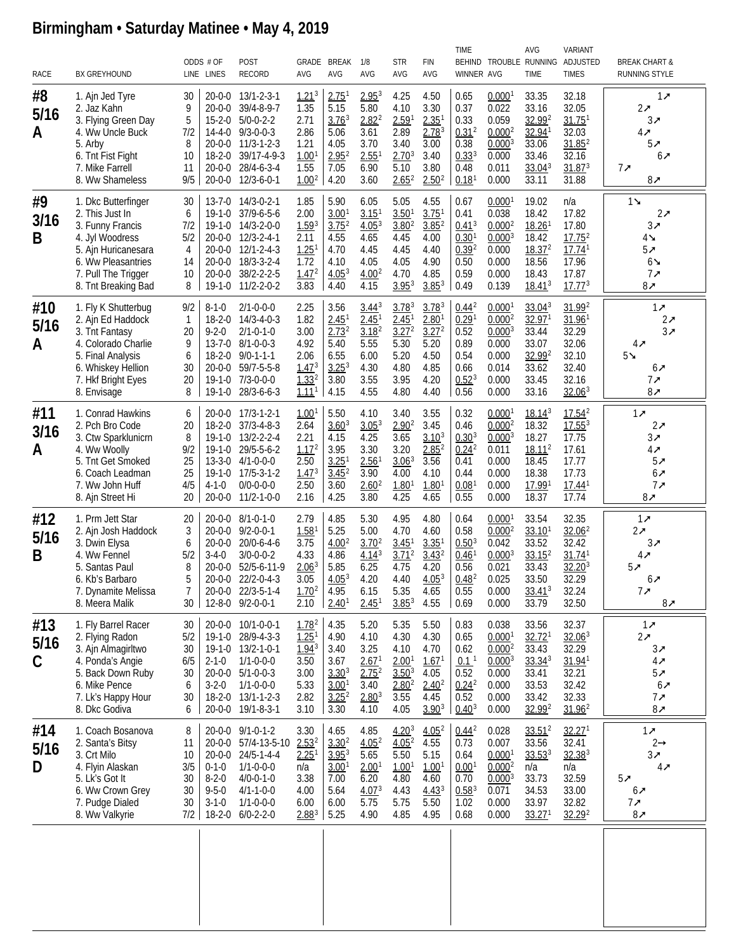## **Birmingham • Saturday Matinee • May 4, 2019**

| RACE                        | <b>BX GREYHOUND</b>                                                                                                                                                      |                                               | ODDS # OF<br>LINE LINES                                  | <b>POST</b><br><b>RECORD</b>                                                                                                                                         | AVG                                                                                            | GRADE BREAK<br><b>AVG</b>                                                                           | 1/8<br>AVG                                                                                            | <b>STR</b><br>AVG                                                                            | <b>FIN</b><br>AVG                                                                                   | <b>TIME</b><br>WINNER AVG                                                                      |                                                                                                        | AVG<br><b>TIME</b>                                                                                            | <b>VARIANT</b><br>BEHIND TROUBLE RUNNING ADJUSTED<br><b>TIMES</b>                                             | <b>BREAK CHART &amp;</b><br>RUNNING STYLE                                                  |
|-----------------------------|--------------------------------------------------------------------------------------------------------------------------------------------------------------------------|-----------------------------------------------|----------------------------------------------------------|----------------------------------------------------------------------------------------------------------------------------------------------------------------------|------------------------------------------------------------------------------------------------|-----------------------------------------------------------------------------------------------------|-------------------------------------------------------------------------------------------------------|----------------------------------------------------------------------------------------------|-----------------------------------------------------------------------------------------------------|------------------------------------------------------------------------------------------------|--------------------------------------------------------------------------------------------------------|---------------------------------------------------------------------------------------------------------------|---------------------------------------------------------------------------------------------------------------|--------------------------------------------------------------------------------------------|
| #8<br>5/16<br>A             | 1. Ajn Jed Tyre<br>2. Jaz Kahn<br>3. Flying Green Day<br>4. Ww Uncle Buck<br>5. Arby<br>6. Tnt Fist Fight<br>7. Mike Farrell<br>8. Ww Shameless                          | 30<br>9<br>5<br>7/2<br>8<br>10<br>11<br>9/5   | $15 - 2 - 0$<br>$18 - 2 - 0$<br>20-0-0                   | 20-0-0 13/1-2-3-1<br>20-0-0 39/4-8-9-7<br>$5/0-0-2-2$<br>14-4-0 9/3-0-0-3<br>20-0-0 11/3-1-2-3<br>39/17-4-9-3<br>28/4-6-3-4<br>20-0-0 12/3-6-0-1                     | $1.21^{3}$<br>1.35<br>2.71<br>2.86<br>1.21<br>1.00 <sup>1</sup><br>1.55<br>$1.00^{2}$          | 2.75 <sup>1</sup><br>5.15<br>3.76 <sup>3</sup><br>5.06<br>4.05<br>2.95 <sup>2</sup><br>7.05<br>4.20 | 2.95 <sup>3</sup><br>5.80<br>$2.82^{2}$<br>3.61<br>3.70<br>$2.55$ <sup>1</sup><br>6.90<br>3.60        | 4.25<br>4.10<br>2.59 <sup>1</sup><br>2.89<br>3.40<br>$2.70^{3}$<br>5.10<br>$2.65^{2}$        | 4.50<br>3.30<br>2.35 <sup>1</sup><br>2.78 <sup>3</sup><br>3.00<br>3.40<br>3.80<br>2.50 <sup>2</sup> | 0.65<br>0.37<br>0.33<br>$0.31^{2}$<br>0.38<br>$0.33^{3}$<br>0.48<br>$0.18$ <sup>1</sup>        | 0.0001<br>0.022<br>0.059<br>0.000 <sup>2</sup><br>$0.000^{3}$<br>0.000<br>0.011<br>0.000               | 33.35<br>33.16<br>32.992<br>32.941<br>33.06<br>33.46<br>33.04 <sup>3</sup><br>33.11                           | 32.18<br>32.05<br>$31.75$ <sup>1</sup><br>32.03<br>$31.85^2$<br>32.16<br>31.87 <sup>3</sup><br>31.88          | $1\pi$<br>$2\pi$<br>$3\pi$<br>4₹<br>$5\pi$<br>$6\pi$<br>$7\pi$<br>$8\pi$                   |
| #9<br>3/16<br>B             | 1. Dkc Butterfinger<br>2. This Just In<br>3. Funny Francis<br>4. Jyl Woodress<br>5. Ajn Huricanesara<br>6. Ww Pleasantries<br>7. Pull The Trigger<br>8. Tnt Breaking Bad | 30<br>6<br>7/2<br>5/2<br>4<br>14<br>10<br>8   | 19-1-0<br>$20 - 0 - 0$<br>$19-1-0$                       | 13-7-0 14/3-0-2-1<br>$37/9 - 6 - 5 - 6$<br>19-1-0 14/3-2-0-0<br>20-0-0 12/3-2-4-1<br>20-0-0 12/1-2-4-3<br>20-0-0 18/3-3-2-4<br>38/2-2-2-5<br>$11/2 - 2 - 0 - 2$      | 1.85<br>2.00<br>1.59 <sup>3</sup><br>2.11<br>$1.25$ <sup>1</sup><br>1.72<br>$1.47^{2}$<br>3.83 | 5.90<br>3.00 <sup>1</sup><br>3.75 <sup>2</sup><br>4.55<br>4.70<br>4.10<br>4.05 <sup>3</sup><br>4.40 | 6.05<br>3.15<br>4.05 <sup>3</sup><br>4.65<br>4.45<br>4.05<br>4.00 <sup>2</sup><br>4.15                | 5.05<br>3.50 <sup>1</sup><br>3.80 <sup>2</sup><br>4.45<br>4.45<br>4.05<br>4.70<br>$3.95^{3}$ | 4.55<br>$3.75$ <sup>1</sup><br>3.85 <sup>2</sup><br>4.00<br>4.40<br>4.90<br>4.85<br>$3.85^{3}$      | 0.67<br>0.41<br>$0.41^{3}$<br>0.30 <sup>1</sup><br>$0.39^{2}$<br>0.50<br>0.59<br>0.49          | 0.0001<br>0.038<br>0.000 <sup>2</sup><br>$0.000^{3}$<br>0.000<br>0.000<br>0.000<br>0.139               | 19.02<br>18.42<br>$18.26$ <sup>1</sup><br>18.42<br>18.37 <sup>2</sup><br>18.56<br>18.43<br>18.41 <sup>3</sup> | n/a<br>17.82<br>17.80<br>$17.75^{2}$<br>$17.74$ <sup>1</sup><br>17.96<br>17.87<br>$17.77^{3}$                 | $1\blacktriangle$<br>$2\pi$<br>3⊼<br>4≱<br>$5\pi$<br>$6\blacktriangle$<br>$7\pi$<br>$8\pi$ |
| #10<br>5/16<br>A            | 1. Fly K Shutterbug<br>2. Ajn Ed Haddock<br>3. Tnt Fantasy<br>4. Colorado Charlie<br>5. Final Analysis<br>6. Whiskey Hellion<br>7. Hkf Bright Eyes<br>8. Envisage        | 9/2<br>1<br>20<br>9<br>6<br>30<br>20<br>8     | $8 - 1 - 0$<br>$18 - 2 - 0$<br>$9 - 2 - 0$<br>$19-1-0$   | $2/1 - 0 - 0 - 0$<br>$14/3 - 4 - 0 - 3$<br>$2/1 - 0 - 1 - 0$<br>13-7-0 8/1-0-0-3<br>18-2-0 9/0-1-1-1<br>20-0-0 59/7-5-5-8<br>19-1-0 7/3-0-0-0<br>28/3-6-6-3          | 2.25<br>1.82<br>3.00<br>4.92<br>2.06<br>1.47 <sup>3</sup><br>$1.33^{2}$<br>$1.11$ <sup>1</sup> | 3.56<br>2.45 <sup>1</sup><br>$2.73^{2}$<br>5.40<br>6.55<br>$3.25^{3}$<br>3.80<br>4.15               | $3.44^{3}$<br>2.45 <sup>1</sup><br>3.18 <sup>2</sup><br>5.55<br>6.00<br>4.30<br>3.55<br>4.55          | $3.78^{3}$<br>2.45 <sup>1</sup><br>3.27 <sup>2</sup><br>5.30<br>5.20<br>4.80<br>3.95<br>4.80 | $3.78^{3}$<br>2.80 <sup>1</sup><br>$3.27^{2}$<br>5.20<br>4.50<br>4.85<br>4.20<br>4.40               | $0.44^{2}$<br>0.29 <sup>1</sup><br>0.52<br>0.89<br>0.54<br>0.66<br>$0.52^{3}$<br>0.56          | 0.0001<br>0.000 <sup>2</sup><br>$0.000^{3}$<br>0.000<br>0.000<br>0.014<br>0.000<br>0.000               | 33.04 <sup>3</sup><br>$32.97^{1}$<br>33.44<br>33.07<br>32.992<br>33.62<br>33.45<br>33.16                      | 31.99 <sup>2</sup><br>$31.96$ <sup>1</sup><br>32.29<br>32.06<br>32.10<br>32.40<br>32.16<br>32.06 <sup>3</sup> | $1\pi$<br>$2\pi$<br>$3\pi$<br>$4\pi$<br>$5\texttt{m}$<br>$6\pi$<br>$7\pi$<br>$8\pi$        |
| #11<br>3/16<br>A            | 1. Conrad Hawkins<br>2. Pch Bro Code<br>3. Ctw Sparklunicrn<br>4. Ww Woolly<br>5. Tnt Get Smoked<br>6. Coach Leadman<br>7. Ww John Huff<br>8. Ajn Street Hi              | 6<br>20<br>8<br>9/2<br>25<br>25<br>4/5<br>20  | $19-1-0$<br>19-1-0<br>19-1-0<br>$4 - 1 - 0$              | 20-0-0 17/3-1-2-1<br>18-2-0 37/3-4-8-3<br>$13/2 - 2 - 2 - 4$<br>29/5-5-6-2<br>13-3-0 4/1-0-0-0<br>$17/5 - 3 - 1 - 2$<br>$0/0 - 0 - 0 - 0$<br>20-0-0 11/2-1-0-0       | 1.00 <sup>1</sup><br>2.64<br>2.21<br>1.17 <sup>2</sup><br>2.50<br>$1.47^{3}$<br>2.50<br>2.16   | 5.50<br>$3.60^{3}$<br>4.15<br>3.95<br>3.25 <sup>1</sup><br>3.45 <sup>2</sup><br>3.60<br>4.25        | 4.10<br>3.05 <sup>3</sup><br>4.25<br>3.30<br>$2.56$ <sup>1</sup><br>3.90<br>2.60 <sup>2</sup><br>3.80 | 3.40<br>$2.90^{2}$<br>3.65<br>3.20<br>3.06 <sup>3</sup><br>4.00<br>1.80 <sup>1</sup><br>4.25 | 3.55<br>3.45<br>$3.10^{3}$<br>2.85 <sup>2</sup><br>3.56<br>4.10<br>1.80 <sup>1</sup><br>4.65        | 0.32<br>0.46<br>$0.30^{3}$<br>0.24 <sup>2</sup><br>0.41<br>0.44<br>0.08 <sup>1</sup><br>0.55   | 0.0001<br>0.000 <sup>2</sup><br>$0.000^{3}$<br>0.011<br>0.000<br>0.000<br>0.000<br>0.000               | 18.14 <sup>3</sup><br>18.32<br>18.27<br>18.11 <sup>2</sup><br>18.45<br>18.38<br>17.991<br>18.37               | 17.54 <sup>2</sup><br>$17.55^{3}$<br>17.75<br>17.61<br>17.77<br>17.73<br>$17.44$ <sup>1</sup><br>17.74        | $1\pi$<br>$2\pi$<br>$3\pi$<br>4₹<br>$5\pi$<br>$6\pi$<br>7x<br>$8\pi$                       |
| #12<br>5/16<br>B            | 1. Prm Jett Star<br>2. Ajn Josh Haddock<br>3. Dwin Elysa<br>4. Ww Fennel<br>5. Santas Paul<br>6. Kb's Barbaro<br>7. Dynamite Melissa<br>8. Meera Malik                   | 20<br>3<br>6<br>5/2<br>8<br>5<br>7<br>30      | $20 - 0 - 0$<br>$3 - 4 - 0$                              | 20-0-0 8/1-0-1-0<br>20-0-0 9/2-0-0-1<br>$20/0 - 6 - 4 - 6$<br>$3/0 - 0 - 0 - 2$<br>20-0-0 52/5-6-11-9<br>20-0-0 22/2-0-4-3<br>20-0-0 22/3-5-1-4<br>12-8-0 9/2-0-0-1  | 2.79<br>1.58 <sup>1</sup><br>3.75<br>4.33<br>$2.06^{3}$<br>3.05<br>$1.70^{2}$<br>2.10          | 4.85<br>5.25<br>4.00 <sup>2</sup><br>4.86<br>5.85<br>4.05 <sup>3</sup><br>4.95<br>2.40 <sup>1</sup> | 5.30<br>5.00<br>$3.70^{2}$<br>$4.14^{3}$<br>6.25<br>4.20<br>6.15<br>$2.45$ <sup>1</sup>               | 4.95<br>4.70<br>3.45 <sup>1</sup><br>$3.71^{2}$<br>4.75<br>4.40<br>5.35<br>$3.85^{3}$        | 4.80<br>4.60<br>3.35 <sup>1</sup><br>$3.43^{2}$<br>4.20<br>4.05 <sup>3</sup><br>4.65<br>4.55        | 0.64<br>0.58<br>$0.50^{3}$<br>$0.46$ <sup>1</sup><br>0.56<br>0.48 <sup>2</sup><br>0.55<br>0.69 | $0.000$ <sup>1</sup><br>$0.000^{2}$<br>0.042<br>$0.000^{3}$<br>0.021<br>0.025<br>0.000<br>0.000        | 33.54<br>33.10 <sup>1</sup><br>33.52<br>$33.15^2$<br>33.43<br>33.50<br>$33.41^{3}$<br>33.79                   | 32.35<br>32.06 <sup>2</sup><br>32.42<br>$31.74$ <sup>1</sup><br>$32.20^{3}$<br>32.29<br>32.24<br>32.50        | $1\pi$<br>$2\pi$<br>3⊼<br>$4\pi$<br>$5\pi$<br>6₹<br>$7\pi$<br>$8\pi$                       |
| #13<br>5/16<br>$\mathsf{C}$ | 1. Fly Barrel Racer<br>2. Flying Radon<br>3. Ajn Almagirltwo<br>4. Ponda's Angie<br>5. Back Down Ruby<br>6. Mike Pence<br>7. Lk's Happy Hour<br>8. Dkc Godiva            | 30<br>5/2<br>30<br>6/5<br>30<br>6<br>30<br>6  | $2 - 1 - 0$<br>$3 - 2 - 0$                               | 20-0-0 10/1-0-0-1<br>19-1-0 28/9-4-3-3<br>19-1-0 13/2-1-0-1<br>$1/1 - 0 - 0 - 0$<br>20-0-0 5/1-0-0-3<br>$1/1 - 0 - 0 - 0$<br>18-2-0 13/1-1-2-3<br>20-0-0 19/1-8-3-1  | $1.78^{2}$<br>1.25 <sup>1</sup><br>$1.94^3$<br>3.50<br>3.00<br>5.33<br>2.82<br>3.10            | 4.35<br>4.90<br>3.40<br>3.67<br>$3.30^{3}$<br>3.00 <sup>1</sup><br>$3.25^{2}$<br>3.30               | 5.20<br>4.10<br>3.25<br>$2.67$ <sup>1</sup><br>2.75 <sup>2</sup><br>3.40<br>$2.80^{3}$<br>4.10        | 5.35<br>4.30<br>4.10<br>2.00 <sup>1</sup><br>$3.50^{3}$<br>$2.80^{2}$<br>3.55<br>4.05        | 5.50<br>4.30<br>4.70<br>1.67 <sup>1</sup><br>4.05<br>$2.40^{2}$<br>4.45<br>$3.90^{3}$               | 0.83<br>0.65<br>0.62<br>0.1 <sup>1</sup><br>0.52<br>$0.24^{2}$<br>0.52<br>$0.40^{3}$           | 0.038<br>$0.000$ <sup>1</sup><br>0.000 <sup>2</sup><br>$0.000^{3}$<br>0.000<br>0.000<br>0.000<br>0.000 | 33.56<br>32.72 <sup>1</sup><br>33.43<br>$33.34^{3}$<br>33.41<br>33.53<br>33.42<br>32.99 <sup>2</sup>          | 32.37<br>32.06 <sup>3</sup><br>32.29<br>31.94 <sup>1</sup><br>32.21<br>32.42<br>32.33<br>$31.96^2$            | $1\pi$<br>$2\pi$<br>$3\pi$<br>$4\pi$<br>$5\pi$<br>$6\pi$<br>$7\pi$<br>$8\pi$               |
| #14<br>5/16<br>D            | 1. Coach Bosanova<br>2. Santa's Bitsy<br>3. Crt Milo<br>4. Flyin Alaskan<br>5. Lk's Got It<br>6. Ww Crown Grey<br>7. Pudge Dialed<br>8. Ww Valkyrie                      | 8<br>11<br>10<br>3/5<br>30<br>30<br>30<br>7/2 | $0 - 1 - 0$<br>$8 - 2 - 0$<br>$9 - 5 - 0$<br>$3 - 1 - 0$ | 20-0-0 9/1-0-1-2<br>20-0-0 57/4-13-5-10<br>20-0-0 24/5-1-4-4<br>$1/1 - 0 - 0 - 0$<br>$4/0 - 0 - 1 - 0$<br>$4/1 - 1 - 0 - 0$<br>$1/1 - 0 - 0 - 0$<br>18-2-0 6/0-2-2-0 | 3.30<br>$2.53^{2}$<br>2.25 <sup>1</sup><br>n/a<br>3.38<br>4.00<br>6.00<br>$2.88^{3}$           | 4.65<br>$3.30^{2}$<br>$3.95^{3}$<br>3.00 <sup>1</sup><br>7.00<br>5.64<br>6.00<br>5.25               | 4.85<br>4.05 <sup>2</sup><br>5.65<br>2.00 <sup>1</sup><br>6.20<br>4.07 <sup>3</sup><br>5.75<br>4.90   | $4.20^{3}$<br>4.05 <sup>2</sup><br>5.50<br>1.00 <sup>1</sup><br>4.80<br>4.43<br>5.75<br>4.85 | $4.05^2$<br>4.55<br>5.15<br>1.00 <sup>1</sup><br>4.60<br>$4.43^{3}$<br>5.50<br>4.95                 | $0.44^{2}$<br>0.73<br>0.64<br>0.001<br>0.70<br>$0.58^{3}$<br>1.02<br>0.68                      | 0.028<br>0.007<br>0.0001<br>0.000 <sup>2</sup><br>$0.000^{3}$<br>0.071<br>0.000<br>0.000               | $33.51^2$<br>33.56<br>$33.53^{3}$<br>n/a<br>33.73<br>34.53<br>33.97<br>33.27 <sup>1</sup>                     | 32.27 <sup>1</sup><br>32.41<br>32.38 <sup>3</sup><br>n/a<br>32.59<br>33.00<br>32.82<br>32.29 <sup>2</sup>     | $1\pi$<br>$2 \rightarrow$<br>$3\pi$<br>$4\pi$<br>$5\pi$<br>$6\pi$<br>$7\pi$<br>$8\pi$      |
|                             |                                                                                                                                                                          |                                               |                                                          |                                                                                                                                                                      |                                                                                                |                                                                                                     |                                                                                                       |                                                                                              |                                                                                                     |                                                                                                |                                                                                                        |                                                                                                               |                                                                                                               |                                                                                            |